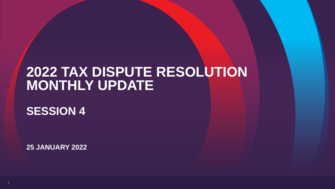# **2022 TAX DISPUTE RESOLUTION MONTHLY UPDATE**

**SESSION 4**

**25 JANUARY 2022**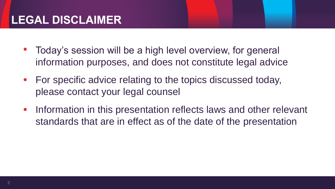- Today's session will be a high level overview, for general information purposes, and does not constitute legal advice
- For specific advice relating to the topics discussed today, please contact your legal counsel
- Information in this presentation reflects laws and other relevant standards that are in effect as of the date of the presentation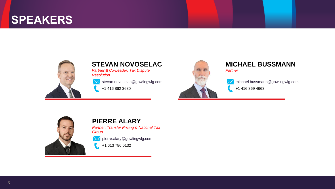### **SPEAKERS**



#### **STEVAN NOVOSELAC**

*Partner & Co-Leader, Tax Dispute Resolution*

stevan.novoselac@gowlingwlg.com

+1 416 862 3630



#### **MICHAEL BUSSMANN** *Partner*

michael.bussmann@gowlingwlg.com +1 416 369 4663



#### **PIERRE ALARY**

*Partner, Transfer Pricing & National Tax Group*

pierre.alary@gowlingwlg.com

+1 613 786 0132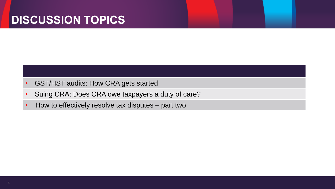### **DISCUSSION TOPICS**

- GST/HST audits: How CRA gets started
- Suing CRA: Does CRA owe taxpayers a duty of care?
- How to effectively resolve tax disputes part two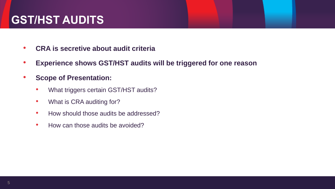- **CRA is secretive about audit criteria**
- **Experience shows GST/HST audits will be triggered for one reason**
- **Scope of Presentation:**
	- What triggers certain GST/HST audits?
	- What is CRA auditing for?
	- How should those audits be addressed?
	- How can those audits be avoided?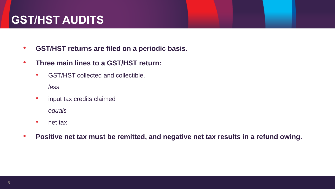- **GST/HST returns are filed on a periodic basis.**
- **Three main lines to a GST/HST return:**
	- GST/HST collected and collectible.

*less*

• input tax credits claimed

*equals*

- net tax
- **Positive net tax must be remitted, and negative net tax results in a refund owing.**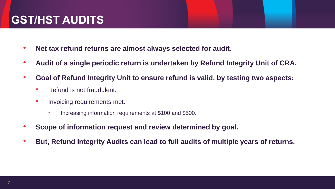- **Net tax refund returns are almost always selected for audit.**
- **Audit of a single periodic return is undertaken by Refund Integrity Unit of CRA.**
- **Goal of Refund Integrity Unit to ensure refund is valid, by testing two aspects:**
	- Refund is not fraudulent.
	- Invoicing requirements met.
		- Increasing information requirements at \$100 and \$500.
- **Scope of information request and review determined by goal.**
- **But, Refund Integrity Audits can lead to full audits of multiple years of returns.**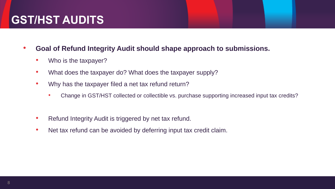- **Goal of Refund Integrity Audit should shape approach to submissions.**
	- Who is the taxpayer?
	- What does the taxpayer do? What does the taxpayer supply?
	- Why has the taxpayer filed a net tax refund return?
		- Change in GST/HST collected or collectible vs. purchase supporting increased input tax credits?
	- Refund Integrity Audit is triggered by net tax refund.
	- Net tax refund can be avoided by deferring input tax credit claim.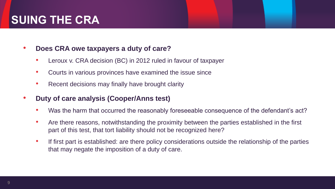#### • **Does CRA owe taxpayers a duty of care?**

- Leroux v. CRA decision (BC) in 2012 ruled in favour of taxpayer
- Courts in various provinces have examined the issue since
- Recent decisions may finally have brought clarity

#### • **Duty of care analysis (Cooper/Anns test)**

- Was the harm that occurred the reasonably foreseeable consequence of the defendant's act?
- Are there reasons, notwithstanding the proximity between the parties established in the first part of this test, that tort liability should not be recognized here?
- If first part is established: are there policy considerations outside the relationship of the parties that may negate the imposition of a duty of care.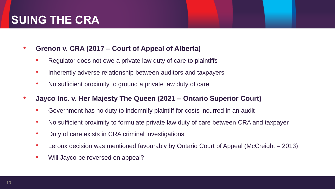- **Grenon v. CRA (2017 – Court of Appeal of Alberta)**
	- Regulator does not owe a private law duty of care to plaintiffs
	- Inherently adverse relationship between auditors and taxpayers
	- No sufficient proximity to ground a private law duty of care
- **Jayco Inc. v. Her Majesty The Queen (2021 – Ontario Superior Court)**
	- Government has no duty to indemnify plaintiff for costs incurred in an audit
	- No sufficient proximity to formulate private law duty of care between CRA and taxpayer
	- Duty of care exists in CRA criminal investigations
	- Leroux decision was mentioned favourably by Ontario Court of Appeal (McCreight 2013)
	- Will Jayco be reversed on appeal?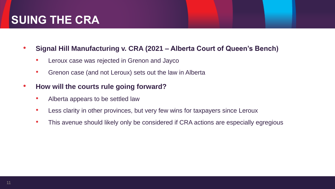- **Signal Hill Manufacturing v. CRA (2021 – Alberta Court of Queen's Bench)**
	- Leroux case was rejected in Grenon and Jayco
	- Grenon case (and not Leroux) sets out the law in Alberta
- **How will the courts rule going forward?**
	- Alberta appears to be settled law
	- Less clarity in other provinces, but very few wins for taxpayers since Leroux
	- This avenue should likely only be considered if CRA actions are especially egregious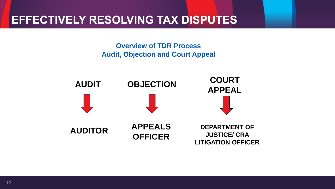### **EFFECTIVELY RESOLVING TAX DISPUTES**

**Overview of TDR Process Audit, Objection and Court Appeal**

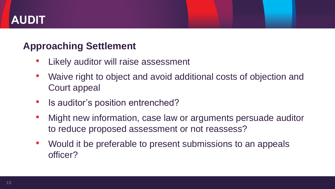## **AUDIT**

#### **Approaching Settlement**

- Likely auditor will raise assessment
- Waive right to object and avoid additional costs of objection and Court appeal
- Is auditor's position entrenched?
- Might new information, case law or arguments persuade auditor to reduce proposed assessment or not reassess?
- Would it be preferable to present submissions to an appeals officer?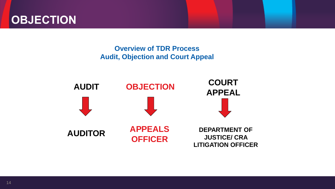

#### **Overview of TDR Process Audit, Objection and Court Appeal**

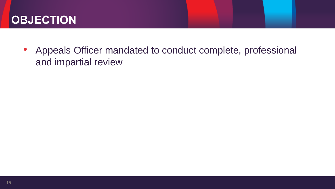• Appeals Officer mandated to conduct complete, professional and impartial review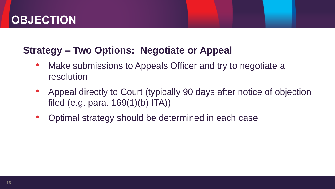#### **Strategy – Two Options: Negotiate or Appeal**

- Make submissions to Appeals Officer and try to negotiate a resolution
- Appeal directly to Court (typically 90 days after notice of objection filed (e.g. para. 169(1)(b) ITA))
- Optimal strategy should be determined in each case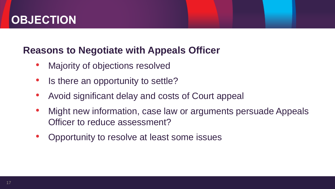#### **Reasons to Negotiate with Appeals Officer**

- Majority of objections resolved
- Is there an opportunity to settle?
- Avoid significant delay and costs of Court appeal
- Might new information, case law or arguments persuade Appeals Officer to reduce assessment?
- Opportunity to resolve at least some issues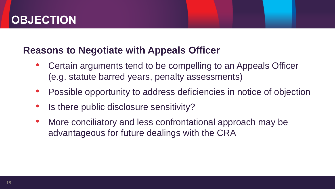#### **Reasons to Negotiate with Appeals Officer**

- Certain arguments tend to be compelling to an Appeals Officer (e.g. statute barred years, penalty assessments)
- Possible opportunity to address deficiencies in notice of objection
- Is there public disclosure sensitivity?
- More conciliatory and less confrontational approach may be advantageous for future dealings with the CRA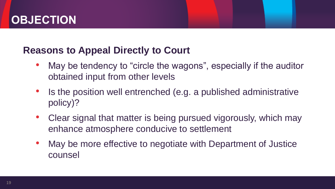#### **Reasons to Appeal Directly to Court**

- May be tendency to "circle the wagons", especially if the auditor obtained input from other levels
- Is the position well entrenched (e.g. a published administrative policy)?
- Clear signal that matter is being pursued vigorously, which may enhance atmosphere conducive to settlement
- May be more effective to negotiate with Department of Justice counsel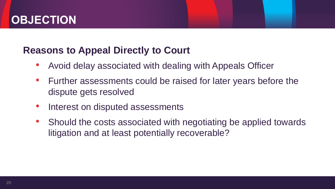#### **Reasons to Appeal Directly to Court**

- Avoid delay associated with dealing with Appeals Officer
- Further assessments could be raised for later years before the dispute gets resolved
- Interest on disputed assessments
- Should the costs associated with negotiating be applied towards litigation and at least potentially recoverable?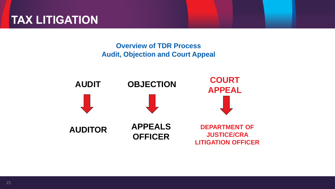## **TAX LITIGATION**

#### **Overview of TDR Process Audit, Objection and Court Appeal**

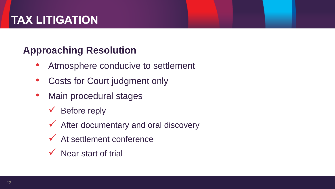# **TAX LITIGATION**

### **Approaching Resolution**

- Atmosphere conducive to settlement
- Costs for Court judgment only
- Main procedural stages
	- $\checkmark$  Before reply
	- $\checkmark$  After documentary and oral discovery
	- $\checkmark$  At settlement conference
	- $\checkmark$  Near start of trial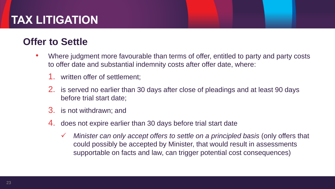# **TAX LITIGATION**

#### **Offer to Settle**

- Where judgment more favourable than terms of offer, entitled to party and party costs to offer date and substantial indemnity costs after offer date, where:
	- 1. written offer of settlement;
	- 2. is served no earlier than 30 days after close of pleadings and at least 90 days before trial start date;
	- 3. is not withdrawn; and
	- 4. does not expire earlier than 30 days before trial start date
		- *Minister can only accept offers to settle on a principled basis* (only offers that could possibly be accepted by Minister, that would result in assessments supportable on facts and law, can trigger potential cost consequences)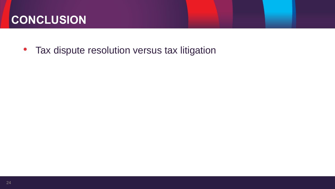## **CONCLUSION**

• Tax dispute resolution versus tax litigation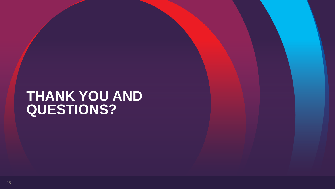# **THANK YOU AND QUESTIONS?**